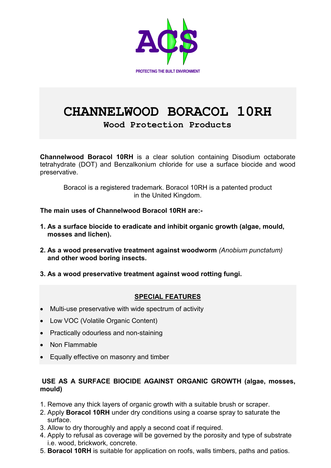

# **CHANNELWOOD BORACOL 10RH**

**Wood Protection Products** 

**Channelwood Boracol 10RH** is a clear solution containing Disodium octaborate tetrahydrate (DOT) and Benzalkonium chloride for use a surface biocide and wood preservative.

Boracol is a registered trademark. Boracol 10RH is a patented product in the United Kingdom.

**The main uses of Channelwood Boracol 10RH are:-** 

- **1. As a surface biocide to eradicate and inhibit organic growth (algae, mould, mosses and lichen).**
- **2. As a wood preservative treatment against woodworm** *(Anobium punctatum)*  **and other wood boring insects.**
- **3. As a wood preservative treatment against wood rotting fungi.**

# **SPECIAL FEATURES**

- Multi-use preservative with wide spectrum of activity
- Low VOC (Volatile Organic Content)
- Practically odourless and non-staining
- Non Flammable
- Equally effective on masonry and timber

## **USE AS A SURFACE BIOCIDE AGAINST ORGANIC GROWTH (algae, mosses, mould)**

- 1. Remove any thick layers of organic growth with a suitable brush or scraper.
- 2. Apply **Boracol 10RH** under dry conditions using a coarse spray to saturate the surface.
- 3. Allow to dry thoroughly and apply a second coat if required.
- 4. Apply to refusal as coverage will be governed by the porosity and type of substrate i.e. wood, brickwork, concrete.
- 5. **Boracol 10RH** is suitable for application on roofs, walls timbers, paths and patios.